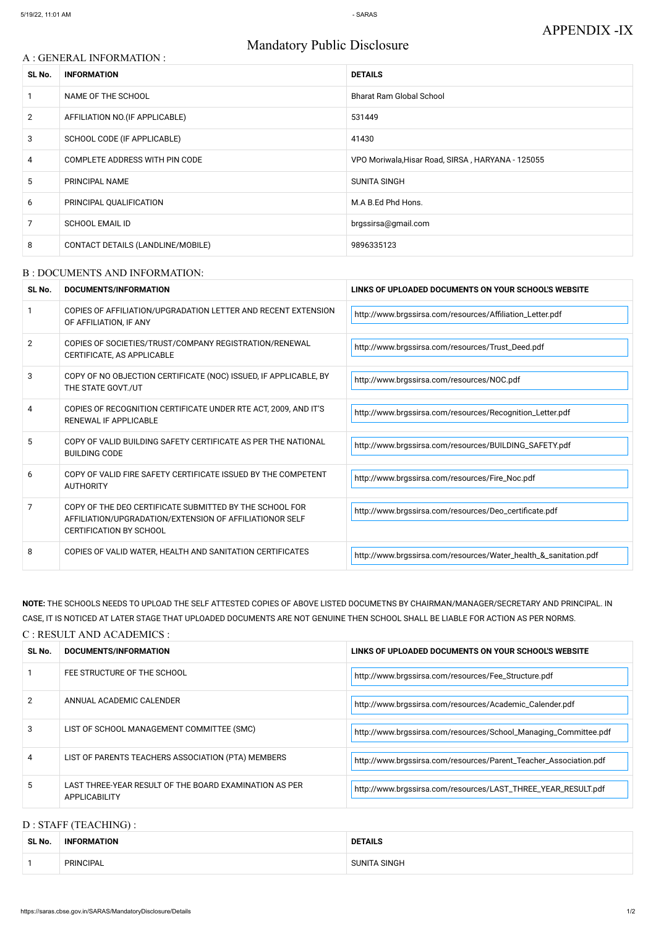# Mandatory Public Disclosure

#### A : GENERAL INFORMATION :

| SL No.         | <b>INFORMATION</b>                | <b>DETAILS</b>                                    |  |
|----------------|-----------------------------------|---------------------------------------------------|--|
|                | NAME OF THE SCHOOL                | <b>Bharat Ram Global School</b>                   |  |
| $\overline{2}$ | AFFILIATION NO. (IF APPLICABLE)   | 531449                                            |  |
| 3              | SCHOOL CODE (IF APPLICABLE)       | 41430                                             |  |
| 4              | COMPLETE ADDRESS WITH PIN CODE    | VPO Moriwala, Hisar Road, SIRSA, HARYANA - 125055 |  |
| 5              | PRINCIPAL NAME                    | <b>SUNITA SINGH</b>                               |  |
| 6              | PRINCIPAL QUALIFICATION           | M.A B.Ed Phd Hons.                                |  |
| 7              | <b>SCHOOL EMAIL ID</b>            | brgssirsa@gmail.com                               |  |
| 8              | CONTACT DETAILS (LANDLINE/MOBILE) | 9896335123                                        |  |

#### B : DOCUMENTS AND INFORMATION:

| SL No. | <b>DOCUMENTS/INFORMATION</b>                                                                                                                         | LINKS OF UPLOADED DOCUMENTS ON YOUR SCHOOL'S WEBSITE             |  |
|--------|------------------------------------------------------------------------------------------------------------------------------------------------------|------------------------------------------------------------------|--|
|        | COPIES OF AFFILIATION/UPGRADATION LETTER AND RECENT EXTENSION<br>OF AFFILIATION, IF ANY                                                              | http://www.brgssirsa.com/resources/Affiliation_Letter.pdf        |  |
| 2      | COPIES OF SOCIETIES/TRUST/COMPANY REGISTRATION/RENEWAL<br>CERTIFICATE, AS APPLICABLE                                                                 | http://www.brgssirsa.com/resources/Trust_Deed.pdf                |  |
| 3      | COPY OF NO OBJECTION CERTIFICATE (NOC) ISSUED, IF APPLICABLE, BY<br>THE STATE GOVT./UT                                                               | http://www.brgssirsa.com/resources/NOC.pdf                       |  |
| 4      | COPIES OF RECOGNITION CERTIFICATE UNDER RTE ACT, 2009, AND IT'S<br>RENEWAL IF APPLICABLE                                                             | http://www.brgssirsa.com/resources/Recognition_Letter.pdf        |  |
| 5      | COPY OF VALID BUILDING SAFETY CERTIFICATE AS PER THE NATIONAL<br><b>BUILDING CODE</b>                                                                | http://www.brgssirsa.com/resources/BUILDING_SAFETY.pdf           |  |
| 6      | COPY OF VALID FIRE SAFETY CERTIFICATE ISSUED BY THE COMPETENT<br><b>AUTHORITY</b>                                                                    | http://www.brgssirsa.com/resources/Fire_Noc.pdf                  |  |
| 7      | COPY OF THE DEO CERTIFICATE SUBMITTED BY THE SCHOOL FOR<br>AFFILIATION/UPGRADATION/EXTENSION OF AFFILIATIONOR SELF<br><b>CERTIFICATION BY SCHOOL</b> | http://www.brgssirsa.com/resources/Deo_certificate.pdf           |  |
|        |                                                                                                                                                      |                                                                  |  |
| 8      | COPIES OF VALID WATER, HEALTH AND SANITATION CERTIFICATES                                                                                            | http://www.brgssirsa.com/resources/Water_health_&_sanitation.pdf |  |

# **NOTE:** THE SCHOOLS NEEDS TO UPLOAD THE SELF ATTESTED COPIES OF ABOVE LISTED DOCUMETNS BY CHAIRMAN/MANAGER/SECRETARY AND PRINCIPAL. IN CASE, IT IS NOTICED AT LATER STAGE THAT UPLOADED DOCUMENTS ARE NOT GENUINE THEN SCHOOL SHALL BE LIABLE FOR ACTION AS PER NORMS.

#### C : RESULT AND ACADEMICS :

| SL No. | DOCUMENTS/INFORMATION                                                   | LINKS OF UPLOADED DOCUMENTS ON YOUR SCHOOL'S WEBSITE              |
|--------|-------------------------------------------------------------------------|-------------------------------------------------------------------|
|        | FEE STRUCTURE OF THE SCHOOL                                             | http://www.brgssirsa.com/resources/Fee_Structure.pdf              |
|        | ANNUAL ACADEMIC CALENDER                                                | http://www.brgssirsa.com/resources/Academic_Calender.pdf          |
| 3      | LIST OF SCHOOL MANAGEMENT COMMITTEE (SMC)                               | http://www.brgssirsa.com/resources/School_Managing_Committee.pdf  |
| 4      | LIST OF PARENTS TEACHERS ASSOCIATION (PTA) MEMBERS                      | http://www.brgssirsa.com/resources/Parent_Teacher_Association.pdf |
| 5      | LAST THREE-YEAR RESULT OF THE BOARD EXAMINATION AS PER<br>APPLICABILITY | http://www.brgssirsa.com/resources/LAST_THREE_YEAR_RESULT.pdf     |

## D : STAFF (TEACHING) :

| SL No. | <b>ORMATION</b><br><b>INF</b> | <b>DETAILS</b>          |  |
|--------|-------------------------------|-------------------------|--|
|        | <b>PRINCIPAL</b>              | SINGH<br><b>CLINIIT</b> |  |